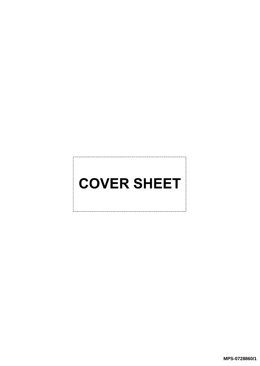## **COVER SHEET**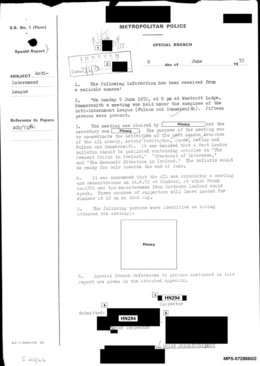S.B. No. 1 (Plain)

Special Report

Anti— SUBJECT. Luternnent

League

Reference to Papers

the contract of the contract of the contract of the contract of the contract of the contract of the contract of



## **METROPOLITAN POLICE**

SPECIAL BRANCH

| 8 | June | 72 |
|---|------|----|
|   |      |    |

<sup>1</sup>. The following information has been received from <sup>a</sup> reliable source:

2. "On Monday 5 June 1972, at 8 pm at Westcott Lodge, Hammersmith a meeting was held under the auspices of the Anti-Internment League (Fulham and Hammersmith). Fifteen <sup>p</sup>ersons were present.

 $400/72/60$  3. The meeting was chaired by  $\frac{Pri\text{vacy}}{Pi}$  and the secretary was **Privacy** 1. The purpose of the meeting was to co-ordinate the activities of the Mest London, branches of the AIL namely, Acton, Paddington, Hayes, Ealing and Fulham and Hammersmith. It was decided that a West London <sup>b</sup>ulletin should be published containing articles on 'The Present Crisis in Ireland,' 'Treatment of Internees,' and 'The Economic Situation in Ireland.' The bulletin would <sup>b</sup>e ready for sale towards the end of June.

> <sup>4</sup>. It was announced that the AIL was organising a meeting and demonstration on 24.6.72 at Windsor, at which Frank McMANUS and two ex-internees from Northern Ireland would speak. Three coaches of supporters will leave London for Windsor at 10 am on that day.

<sup>5</sup>. The following persons were identified as having attended the meeting:-



<sup>6</sup>. Special Branch references to persons mentioned in this report are given in the attached appendix.



M.P.-71-86348/20M (2)